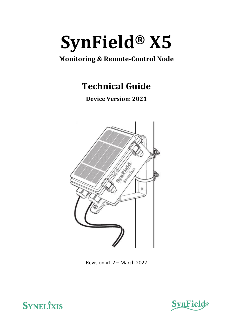

# **Monitoring & Remote-Control Node**

**Technical Guide**

**Device Version: 2021**



Revision v1.2 – March 2022



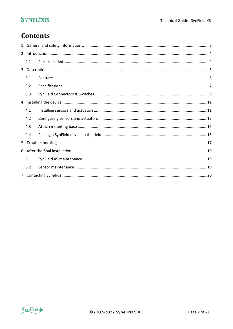## **Contents**

| 2.1 |  |  |  |  |
|-----|--|--|--|--|
|     |  |  |  |  |
| 3.1 |  |  |  |  |
| 3.2 |  |  |  |  |
| 3.3 |  |  |  |  |
|     |  |  |  |  |
| 4.1 |  |  |  |  |
| 4.2 |  |  |  |  |
| 4.3 |  |  |  |  |
| 4.4 |  |  |  |  |
|     |  |  |  |  |
|     |  |  |  |  |
| 6.1 |  |  |  |  |
| 6.2 |  |  |  |  |
|     |  |  |  |  |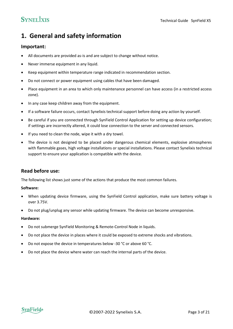### <span id="page-2-0"></span>**1. General and safety information**

#### **Important:**

- All documents are provided as-is and are subject to change without notice.
- Never immerse equipment in any liquid.
- Keep equipment within temperature range indicated in recommendation section.
- Do not connect or power equipment using cables that have been damaged.
- Place equipment in an area to which only maintenance personnel can have access (in a restricted access zone).
- In any case keep children away from the equipment.
- If a software failure occurs, contact Synelixis technical support before doing any action by yourself.
- Be careful if you are connected through SynField Control Application for setting up device configuration; if settings are incorrectly altered, it could lose connection to the server and connected sensors.
- If you need to clean the node, wipe it with a dry towel.
- The device is not designed to be placed under dangerous chemical elements, explosive atmospheres with flammable gases, high voltage installations or special installations. Please contact Synelixis technical support to ensure your application is compatible with the device.

#### **Read before use:**

The following list shows just some of the actions that produce the most common failures.

#### **Software:**

- When updating device firmware, using the SynField Control application, make sure battery voltage is over 3.75V.
- Do not plug/unplug any sensor while updating firmware. The device can become unresponsive.

#### **Hardware:**

- Do not submerge SynField Monitoring & Remote-Control Node in liquids.
- Do not place the device in places where it could be exposed to extreme shocks and vibrations.
- Do not expose the device in temperatures below -30 °C or above 60 °C.
- Do not place the device where water can reach the internal parts of the device.

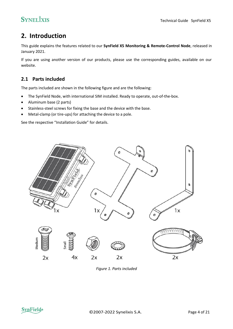### <span id="page-3-0"></span>**2. Introduction**

This guide explains the features related to our **SynField X5 Monitoring & Remote-Control Node**, released in January 2021.

If you are using another version of our products, please use the corresponding guides, available on our website.

### <span id="page-3-1"></span>**2.1 Parts included**

The parts included are shown in the following figure and are the following:

- The SynField Node, with international SIM installed. Ready to operate, out-of-the-box.
- Aluminum base (2 parts)
- Stainless-steel screws for fixing the base and the device with the base.
- Metal-clamp (or tire-ups) for attaching the device to a pole.

See the respective "Installation Guide" for details.



*Figure 1. Parts included*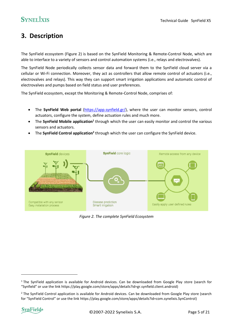### <span id="page-4-0"></span>**3. Description**

The SynField ecosystem [\(Figure](#page-4-1) 2) is based on the SynField Monitoring & Remote-Control Node, which are able to interface to a variety of sensors and control automation systems (i.e., relays and electrovalves).

The SynField Node periodically collects sensor data and forward them to the SynField cloud server via a cellular or Wi-Fi connection. Moreover, they act as controllers that allow remote control of actuators (i.e., electrovalves and relays). This way they can support smart irrigation applications and automatic control of electrovalves and pumps based on field status and user preferences.

The SynField ecosystem, except the Monitoring & Remote-Control Node, comprises of:

- The **SynField Web portal** [\(https://app.synfield.gr/\)](https://app.synfield.gr/), where the user can monitor sensors, control actuators, configure the system, define actuation rules and much more.
- **•** The SynField Mobile application<sup>1</sup> through which the user can easily monitor and control the various sensors and actuators.
- **•** The SynField Control application<sup>2</sup> through which the user can configure the SynField device.



<span id="page-4-1"></span>*Figure 2. The complete SynField Ecosystem*

<sup>&</sup>lt;sup>2</sup> The SynField Control application is available for Android devices. Can be downloaded from Google Play store (search for "SynField Control" or use the link https://play.google.com/store/apps/details?id=com.synelixis.SynControl)



<sup>&</sup>lt;sup>1</sup> The SynField application is available for Android devices. Can be downloaded from Google Play store (search for "Synfield" or use the link https://play.google.com/store/apps/details?id=gr.synfield.client.android)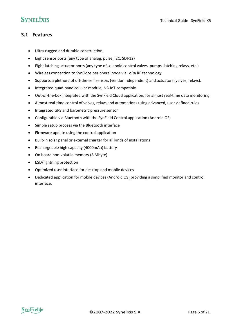#### <span id="page-5-0"></span>**3.1 Features**

- Ultra-rugged and durable construction
- Eight sensor ports (any type of analog, pulse, I2C, SDI-12)
- Eight latching actuator ports (any type of solenoid control valves, pumps, latching relays, etc.)
- Wireless connection to SynOdos peripheral node via LoRa RF technology
- Supports a plethora of off-the-self sensors (vendor independent) and actuators (valves, relays).
- Integrated quad-band cellular module, NB-IoT compatible
- Out-of-the-box integrated with the SynField Cloud application, for almost real-time data monitoring
- Almost real-time control of valves, relays and automations using advanced, user-defined rules
- Integrated GPS and barometric pressure sensor
- Configurable via Bluetooth with the SynField Control application (Android OS)
- Simple setup process via the Bluetooth interface
- Firmware update using the control application
- Built-in solar panel or external charger for all kinds of installations
- Rechargeable high capacity (4000mAh) battery
- On board non-volatile memory (8 Mbyte)
- ESD/lightning protection
- Optimized user interface for desktop and mobile devices
- Dedicated application for mobile devices (Android OS) providing a simplified monitor and control interface.

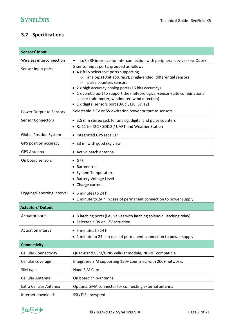### <span id="page-6-0"></span>**3.2 Specifications**

| Sensors' Input                |                                                                                                                                                                                                                                                                                                                                                                                                                                             |  |  |  |
|-------------------------------|---------------------------------------------------------------------------------------------------------------------------------------------------------------------------------------------------------------------------------------------------------------------------------------------------------------------------------------------------------------------------------------------------------------------------------------------|--|--|--|
| Wireless interconnection      | LoRa RF interface for interconnection with peripheral devices (synOdos)<br>$\bullet$                                                                                                                                                                                                                                                                                                                                                        |  |  |  |
| Sensor input ports            | 8 sensor input ports, grouped as follows:<br>• 4 x fully selectable ports supporting<br>analog: (10bit accuracy), single-ended, differential sensors<br>$\circ$<br>pulse counters sensors<br>$\circ$<br>• 2 x high accuracy analog ports (16 bits accuracy)<br>• 1 x combo port to support the meteorological-sensor-suite combinational<br>sensor (rain-meter, windmeter, wind direction)<br>• 1 x digital sensors port (UART, I2C, SDI12) |  |  |  |
| Power Output to Sensors       | Selectable 3.3V or 5V excitation power output to sensors                                                                                                                                                                                                                                                                                                                                                                                    |  |  |  |
| <b>Sensor Connectors</b>      | • 3.5 mm stereo jack for analog, digital and pulse counters<br>• RJ-11 for I2C / SDI12 / UART and Weather Station                                                                                                                                                                                                                                                                                                                           |  |  |  |
| <b>Global Position System</b> | • Integrated GPS receiver                                                                                                                                                                                                                                                                                                                                                                                                                   |  |  |  |
| GPS position accuracy         | $\bullet$ ±3 m, with good sky view                                                                                                                                                                                                                                                                                                                                                                                                          |  |  |  |
| <b>GPS Antenna</b>            | • Active patch antenna                                                                                                                                                                                                                                                                                                                                                                                                                      |  |  |  |
| On board sensors              | $\bullet$ GPS<br>• Barometric<br>• System Temperature<br>• Battery Voltage Level<br>• Charge current                                                                                                                                                                                                                                                                                                                                        |  |  |  |
| Logging/Reporting interval    | • 5 minutes to 24 h<br>• 1 minute to 24 h in case of permanent connection to power supply                                                                                                                                                                                                                                                                                                                                                   |  |  |  |
| <b>Actuators' Output</b>      |                                                                                                                                                                                                                                                                                                                                                                                                                                             |  |  |  |
| <b>Actuator ports</b>         | • 8 latching ports (i.e., valves with latching solenoid, latching relay)<br>• Selectable 9V or 12V actuation                                                                                                                                                                                                                                                                                                                                |  |  |  |
| Actuation interval            | • 5 minutes to 24 h<br>• 1 minute to 24 h in case of permanent connection to power supply                                                                                                                                                                                                                                                                                                                                                   |  |  |  |
| <b>Connectivity</b>           |                                                                                                                                                                                                                                                                                                                                                                                                                                             |  |  |  |
| <b>Cellular Connectivity</b>  | Quad-Band GSM/GPRS cellular module, NB-IoT compatible                                                                                                                                                                                                                                                                                                                                                                                       |  |  |  |
| Cellular coverage             | Integrated SIM supporting 150+ countries, with 200+ networks                                                                                                                                                                                                                                                                                                                                                                                |  |  |  |
| SIM type                      | Nano SIM Card                                                                                                                                                                                                                                                                                                                                                                                                                               |  |  |  |
| Cellular Antenna              | On board chip-antenna                                                                                                                                                                                                                                                                                                                                                                                                                       |  |  |  |
| Extra Cellular Antenna        | Optional SMA connector for connecting external antenna                                                                                                                                                                                                                                                                                                                                                                                      |  |  |  |
| Internet downloads            | SSL/TLS encrypted                                                                                                                                                                                                                                                                                                                                                                                                                           |  |  |  |

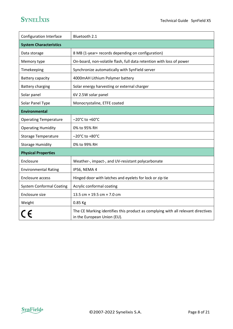| Configuration Interface         | Bluetooth 2.1                                                                                                   |  |  |
|---------------------------------|-----------------------------------------------------------------------------------------------------------------|--|--|
| <b>System Characteristics</b>   |                                                                                                                 |  |  |
| Data storage                    | 8 MB (1-year+ records depending on configuration)                                                               |  |  |
| Memory type                     | On-board, non-volatile flash, full data retention with loss of power                                            |  |  |
| Timekeeping                     | Synchronize automatically with SynField server                                                                  |  |  |
| Battery capacity                | 4000mAH Lithium Polymer battery                                                                                 |  |  |
| <b>Battery charging</b>         | Solar energy harvesting or external charger                                                                     |  |  |
| Solar panel                     | 6V 2.5W solar panel                                                                                             |  |  |
| Solar Panel Type                | Monocrystaline, ETFE coated                                                                                     |  |  |
| <b>Environmental</b>            |                                                                                                                 |  |  |
| <b>Operating Temperature</b>    | $-20^{\circ}$ C to +60 $^{\circ}$ C                                                                             |  |  |
| <b>Operating Humidity</b>       | 0% to 95% RH                                                                                                    |  |  |
| <b>Storage Temperature</b>      | $-20^{\circ}$ C to +80 $^{\circ}$ C                                                                             |  |  |
| <b>Storage Humidity</b>         | 0% to 99% RH                                                                                                    |  |  |
| <b>Physical Properties</b>      |                                                                                                                 |  |  |
| Enclosure                       | Weather-, impact-, and UV-resistant polycarbonate                                                               |  |  |
| <b>Environmental Rating</b>     | IP56, NEMA 4                                                                                                    |  |  |
| Enclosure access                | Hinged door with latches and eyelets for lock or zip tie                                                        |  |  |
| <b>System Conformal Coating</b> | Acrylic conformal coating                                                                                       |  |  |
| Enclosure size                  | 13.5 cm × 19.5 cm × 7.0 cm                                                                                      |  |  |
| Weight                          | 0.85 Kg                                                                                                         |  |  |
|                                 | The CE Marking identifies this product as complying with all relevant directives<br>in the European Union (EU). |  |  |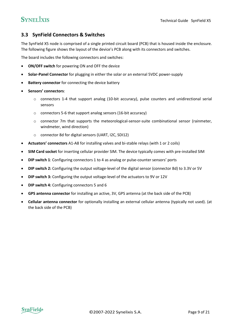#### <span id="page-8-0"></span>**3.3 SynField Connectors & Switches**

The SynField X5 node is comprised of a single printed circuit board (PCB) that is housed inside the enclosure. The following figure shows the layout of the device's PCB along with its connectors and switches.

The board includes the following connectors and switches:

- **ON/OFF switch** for powering ON and OFF the device
- **Solar-Panel Connector** for plugging in either the solar or an external 5VDC power-supply
- **Battery connector** for connecting the device battery
- **Sensors' connectors**:
	- o connectors 1-4 that support analog (10-bit accuracy), pulse counters and unidirectional serial sensors
	- o connectors 5-6 that support analog sensors (16-bit accuracy)
	- $\circ$  connector 7m that supports the meteorological-sensor-suite combinational sensor (rainmeter, windmeter, wind direction)
	- o connector 8d for digital sensors (UART, I2C, SDI12)
- **Actuators' connectors** A1-A8 for installing valves and bi-stable relays (with 1 or 2 coils)
- **SIM Card socket** for inserting cellular provider SIM. The device typically comes with pre-installed SIM
- **DIP switch 1**: Configuring connectors 1 to 4 as analog or pulse-counter sensors' ports
- **DIP switch 2:** Configuring the output voltage-level of the digital sensor (connector 8d) to 3.3V or 5V
- **DIP switch 3:** Configuring the output voltage-level of the actuators to 9V or 12V
- **DIP switch 4:** Configuring connectors 5 and 6
- **GPS antenna connector** for installing an active, 3V, GPS antenna (at the back side of the PCB)
- **Cellular antenna connector** for optionally installing an external cellular antenna (typically not used). (at the back side of the PCB)

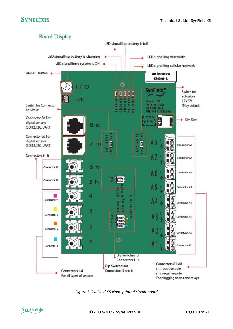

*Figure 3 SynField X5 Node printed circuit board*

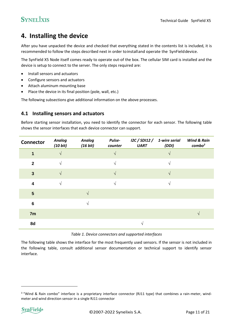### <span id="page-10-0"></span>**4. Installing the device**

After you have unpacked the device and checked that everything stated in the contents list is included, it is recommended to follow the steps described next in order toinstalland operate the SynFielddevice.

The SynField X5 Node itself comes ready to operate out-of the box. The cellular SIM card is installed and the device is setup to connect to the server. The only steps required are:

- Install sensors and actuators
- Configure sensors and actuators
- Attach aluminum mounting base
- Place the device in its final position (pole, wall, etc.)

<span id="page-10-1"></span>The following subsections give additional information on the above processes.

#### **4.1 Installing sensors and actuators**

Before starting sensor installation, you need to identify the connector for each sensor. The following table shows the sensor interfaces that each device connector can support.

| <b>Connector</b> | <b>Analog</b><br>(10 bit) | <b>Analog</b><br>(16 bit) | Pulse-<br>counter | I2C / SDI12 / 1-wire serial<br><b>UART</b> | (DDI) | <b>Wind &amp; Rain</b><br>$\mathbf{combo}^3$ |
|------------------|---------------------------|---------------------------|-------------------|--------------------------------------------|-------|----------------------------------------------|
|                  | $\sqrt{ }$                |                           | $\sqrt{ }$        |                                            |       |                                              |
| $\overline{2}$   | $\mathcal{N}$             |                           | $\sqrt{ }$        |                                            |       |                                              |
| $\overline{3}$   |                           |                           | $\sqrt{ }$        |                                            |       |                                              |
| $\overline{4}$   | $\mathcal{N}$             |                           | $\sqrt{ }$        |                                            |       |                                              |
| $5\overline{5}$  |                           |                           |                   |                                            |       |                                              |
| $6\phantom{1}6$  |                           | N                         |                   |                                            |       |                                              |
| 7m               |                           |                           |                   |                                            |       |                                              |
| 8d               |                           |                           |                   |                                            |       |                                              |

*Table 1. Device connectors and supported interfaces*

The following table shows the interface for the most frequently used sensors. If the sensor is not included in the following table, consult additional sensor documentation or technical support to identify sensor interface.

<sup>&</sup>lt;sup>3</sup> "Wind & Rain combo" interface is a proprietary interface connector (RJ11 type) that combines a rain-meter, windmeter and wind direction sensor in a single RJ11 connector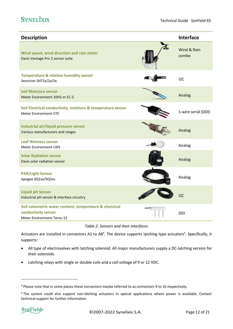| <b>Description</b>                                                                                                  | <b>Interface</b>     |
|---------------------------------------------------------------------------------------------------------------------|----------------------|
| Wind speed, wind direction and rain meter<br>Davis Vantage Pro 2 sensor suite                                       | Wind & Rain<br>combo |
| <b>Temperature &amp; relative humidity sensor</b><br>Sensirion SHT1x/2x/3x                                          | 12C                  |
| <b>Soil Moisture sensor</b><br>Meter Environment 10HS or EC-5                                                       | Analog               |
| Soil Electrical conductivity, moisture & temperature sensor<br><b>Meter Environment 5TE</b>                         | 1-wire serial (DDI)  |
| Industrial air/liquid pressure sensor<br>Various manufacturers and ranges                                           | Analog               |
| <b>Leaf Wetness sensor</b><br><b>Meter Environment LWS</b>                                                          | Analog               |
| <b>Solar Radiation sensor</b><br>Davis solar radiation sensor                                                       | Analog               |
| <b>PAR/Light Sensor</b><br>Apogee SQ1xx/SQ2xx                                                                       | Analog               |
| <b>Liquid pH Sensor</b><br>Industrial pH sensor & interface circuitry                                               | 12C                  |
| Soil volumetric water content, temperature & electrical<br>conductivity sensor<br><b>Meter Environment Teros-12</b> | <b>DDI</b>           |

*Table 2. Sensors and their interfaces*

Actuators are installed in connectors A1 to A8<sup>4</sup>. The device supports latching type actuators<sup>5</sup>. Specifically, it supports:

- All type of electrovalves with latching solenoid. All major manufacturers supply a DC-latching version for their solenoids.
- Latching relays with single or double coils and a coil voltage of 9 or 12 VDC.

<sup>&</sup>lt;sup>4</sup> Please note that in some places these connectors maybe referred to as connectors 9 to 16 respectively.

<sup>&</sup>lt;sup>5</sup> The system could also support non-latching actuators in special applications where power is available. Contact technical support for further information.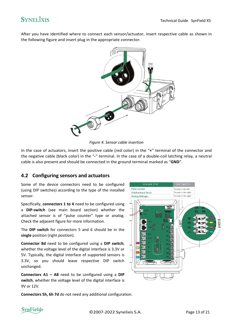After you have identified where to connect each sensor/actuator, insert respective cable as shown in the following figure and insert plug in the appropriate connector.



*Figure 4. Sensor cable insertion*

In the case of actuators, insert the positive cable (red color) in the "**+**" terminal of the connector and the negative cable (black color) in the "**-**" terminal. In the case of a double-coil latching relay, a neutral cable is also present and should be connected in the ground terminal marked as "**GND**".

### <span id="page-12-0"></span>**4.2 Configuring sensors and actuators**

Some of the device connectors need to be configured (using DIP switches) according to the type of the installed sensor.

Specifically, **connectors 1 to 4** need to be configured using a **DIP-switch** (see main board section) whether the attached sensor is of "pulse counter" type or analog. Check the adjacent figure for more information.

The **DIP switch** for connectors 5 and 6 should be in the **single** position (right position).

**Connector 8d** need to be configured using a **DIP switch**, whether the voltage level of the digital interface is 3.3V or 5V. Typically, the digital interface of supported sensors is 3.3V, so you should leave respective DIP switch unchanged.

**Connectors A1 – A8** need to be configured using a **DIP switch**, whether the voltage level of the digital interface is 9V or 12V.

**Connectors 5h, 6h 7d** do not need any additional configuration.



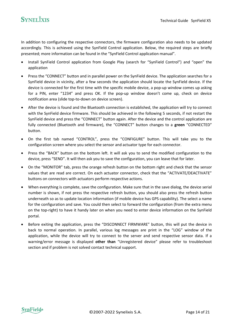In addition to configuring the respective connectors, the firmware configuration also needs to be updated accordingly. This is achieved using the SynField Control application. Below, the required steps are briefly presented; more information can be found in the "SynField Control application manual".

- Install SynField Control application from Google Play (search for "SynField Control") and "open" the application
- Press the "CONNECT" button and in parallel power on the SynField device. The application searches for a SynField device in vicinity, after a few seconds the application should locate the SynField device. If the device is connected for the first time with the specific mobile device, a pop-up window comes up asking for a PIN, enter "1234" and press OK. If the pop-up window doesn't come up, check on device notification area (slide top-to-down on device screen).
- After the device is found and the Bluetooth connection is established, the application will try to connect with the SynField device firmware. This should be achieved in the following 5 seconds, if not restart the SynField device and press the "CONNECT" button again. After the device and the control application are fully connected (Bluetooth and firmware), the "CONNECT" button changes to a **green** "CONNECTED" button.
- On the first tab named "CONTROL", press the "CONFIGURE" button. This will take you to the configuration screen where you select the sensor and actuator type for each connector.
- Press the "BACK" button on the bottom left. It will ask you to send the modified configuration to the device, press "SEND". It will then ask you to save the configuration, you can leave that for later.
- On the "MONITOR" tab, press the orange refresh button on the bottom right and check that the sensor values that are read are correct. On each actuator connector, check that the "ACTIVATE/DEACTIVATE" buttons on connectors with actuators perform respective actions.
- When everything is complete, save the configuration. Make sure that in the save dialog, the device serial number is shown, if not press the respective refresh button, you should also press the refresh button underneath so as to update location information (if mobile device has GPS capability). The select a name for the configuration and save. You could then select to forward the configuration (from the extra menu on the top-right) to have it handy later on when you need to enter device information on the SynField portal.
- Before exiting the application, press the "DISCONNECT FIRMWARE" button, this will put the device in back to normal operation. In parallel, various log messages are print in the "LOG" window of the application, while the device will try to connect to the server and send respective sensor data. If a warning/error message is displayed **other than** "Unregistered device" please refer to troubleshoot section and if problem is not solved contact technical support.

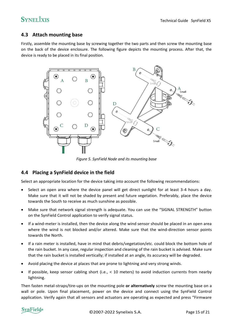### <span id="page-14-0"></span>**4.3 Attach mounting base**

Firstly, assemble the mounting base by screwing together the two parts and then screw the mounting base on the back of the device enclosure. The following figure depicts the mounting process. After that, the device is ready to be placed in its final position.



*Figure 5. SynField Node and its mounting base*

#### <span id="page-14-1"></span>**4.4 Placing a SynField device in the field**

Select an appropriate location for the device taking into account the following recommendations:

- Select an open area where the device panel will get direct sunlight for at least 3-4 hours a day. Make sure that it will not be shaded by present and future vegetation. Preferably, place the device towards the South to receive as much sunshine as possible.
- Make sure that network signal strength is adequate. You can use the "SIGNAL STRENGTH" button on the SynField Control application to verify signal status.
- If a wind-meter is installed, then the device along the wind sensor should be placed in an open area where the wind is not blocked and/or altered. Make sure that the wind-direction sensor points towards the North.
- If a rain meter is installed, have in mind that debris/vegetation/etc. could block the bottom hole of the rain bucket. In any case, regular inspection and cleaning of the rain bucket is advised. Make sure that the rain bucket is installed vertically; if installed at an angle, its accuracy will be degraded.
- Avoid placing the device at places that are prone to lightning and very strong winds.
- If possible, keep sensor cabling short (i.e., < 10 meters) to avoid induction currents from nearby lightning.

Then fasten metal-straps/tire-ups on the mounting pole **or alternatively** screw the mounting base on a wall or pole. Upon final placement, power on the device and connect using the SynField Control application. Verify again that all sensors and actuators are operating as expected and press "Firmware

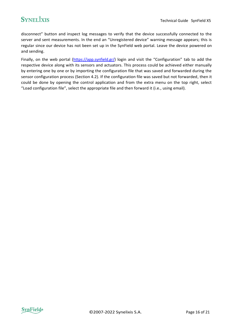disconnect" button and inspect log messages to verify that the device successfully connected to the server and sent measurements. In the end an "Unregistered device" warning message appears; this is regular since our device has not been set up in the SynField web portal. Leave the device powered on and sending.

Finally, on the web portal [\(https://app.synfield.gr/](https://app.synfield.gr/)) login and visit the "Configuration" tab to add the respective device along with its sensors and actuators. This process could be achieved either manually by entering one by one or by importing the configuration file that was saved and forwarded during the sensor configuration process (Section 4.2). If the configuration file was saved but not forwarded, then it could be done by opening the control application and from the extra menu on the top right, select "Load configuration file", select the appropriate file and then forward it (i.e., using email).

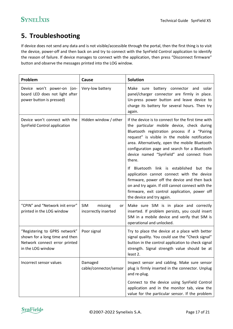### <span id="page-16-0"></span>**5. Troubleshooting**

If device does not send any data and is not visible/accessible through the portal, then the first thing is to visit the device, power-off and then back on and try to connect with the SynField Control application to identify the reason of failure. If device manages to connect with the application, then press "Disconnect firmware" button and observe the messages printed into the LOG window.

| Problem                                                                                                                              | Cause                                               | <b>Solution</b>                                                                                                                                                                                                                                                                                                                                              |  |
|--------------------------------------------------------------------------------------------------------------------------------------|-----------------------------------------------------|--------------------------------------------------------------------------------------------------------------------------------------------------------------------------------------------------------------------------------------------------------------------------------------------------------------------------------------------------------------|--|
| Device won't power-on (on-<br>board LED does not light after<br>power button is pressed)                                             | Very-low battery                                    | battery connector and solar<br>Make sure<br>panel/charger connector are firmly in place.<br>Un-press power button and leave device to<br>charge its battery for several hours. Then try<br>again.                                                                                                                                                            |  |
| Device won't connect with the<br>SynField Control application                                                                        | Hidden window / other                               | If the device is to connect for the first time with<br>the particular mobile device, check during<br>Bluetooth registration process if a "Pairing<br>request" is visible in the mobile notification<br>area. Alternatively, open the mobile Bluetooth<br>configuration page and search for a Bluetooth<br>device named "SynField" and connect from<br>there. |  |
|                                                                                                                                      |                                                     | Bluetooth link is established but the<br>lf.<br>application cannot connect with the device<br>firmware, power off the device and then back<br>on and try again. If still cannot connect with the<br>firmware, exit control application, power off<br>the device and try again.                                                                               |  |
| "CPIN" and "Network init error"<br>printed in the LOG window                                                                         | <b>SIM</b><br>missing<br>or<br>incorrectly inserted | Make sure SIM is in place and correctly<br>inserted. If problem persists, you could insert<br>SIM in a mobile device and verify that SIM is<br>operational and unlocked.                                                                                                                                                                                     |  |
| "Registering to GPRS network"<br>Poor signal<br>shown for a long time and then<br>Network connect error printed<br>in the LOG window |                                                     | Try to place the device at a place with better<br>signal quality. You could use the "Check signal"<br>button in the control application to check signal<br>strength. Signal strength value should be at<br>least 2.                                                                                                                                          |  |
| Incorrect sensor values                                                                                                              | Damaged<br>cable/connector/sensor                   | Inspect sensor and cabling. Make sure sensor<br>plug is firmly inserted in the connector. Unplug<br>and re-plug.                                                                                                                                                                                                                                             |  |
|                                                                                                                                      |                                                     | Connect to the device using SynField Control<br>application and in the monitor tab, view the<br>value for the particular sensor. If the problem                                                                                                                                                                                                              |  |

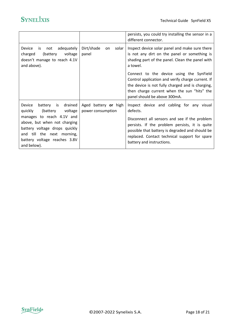|                                                                                                                                                                                                                                        |                                           | persists, you could try installing the sensor in a<br>different connector.                                                                                                                                                                                                                |
|----------------------------------------------------------------------------------------------------------------------------------------------------------------------------------------------------------------------------------------|-------------------------------------------|-------------------------------------------------------------------------------------------------------------------------------------------------------------------------------------------------------------------------------------------------------------------------------------------|
| not adequately<br>Device<br>is<br>charged<br>(battery<br>voltage<br>doesn't manage to reach 4.1V<br>and above).                                                                                                                        | Dirt/shade<br>solar I<br>on.<br>panel     | Inspect device solar panel and make sure there<br>is not any dirt on the panel or something is<br>shading part of the panel. Clean the panel with<br>a towel.                                                                                                                             |
|                                                                                                                                                                                                                                        |                                           | Connect to the device using the SynField<br>Control application and verify charge current. If<br>the device is not fully charged and is charging,<br>then charge current when the sun "hits" the<br>panel should be above 300mA.                                                          |
| battery is drained<br>Device<br>(battery voltage<br>quickly<br>manages to reach 4.1V and<br>above, but when not charging<br>battery voltage drops quickly<br>and till the next morning,<br>battery voltage reaches 3.8V<br>and below). | Aged battery or high<br>power consumption | Inspect device and cabling for any visual<br>defects.<br>Disconnect all sensors and see if the problem<br>persists. If the problem persists, it is quite<br>possible that battery is degraded and should be<br>replaced. Contact technical support for spare<br>battery and instructions. |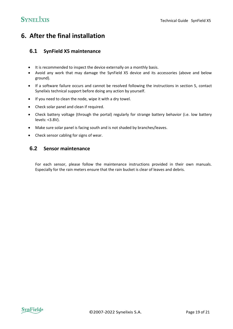### <span id="page-18-1"></span><span id="page-18-0"></span>**6. After the final installation**

#### **6.1 SynField X5 maintenance**

- It is recommended to inspect the device externally on a monthly basis.
- Avoid any work that may damage the SynField X5 device and its accessories (above and below ground).
- If a software failure occurs and cannot be resolved following the instructions in section 5, contact Synelixis technical support before doing any action by yourself.
- If you need to clean the node, wipe it with a dry towel.
- Check solar panel and clean if required.
- Check battery voltage (through the portal) regularly for strange battery behavior (i.e. low battery levels: <3.8V).
- Make sure solar panel is facing south and is not shaded by branches/leaves.
- <span id="page-18-2"></span>• Check sensor cabling for signs of wear.

#### **6.2 Sensor maintenance**

For each sensor, please follow the maintenance instructions provided in their own manuals. Especially for the rain meters ensure that the rain bucket is clear of leaves and debris.

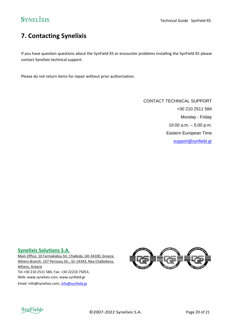## <span id="page-19-0"></span>**7. Contacting Synelixis**

If you have question questions about the SynField X5 or encounter problems installing the SynField X5 please contact Synelixis technical support.

Please do not return items for repair without prior authorization.

CONTACT TECHNICAL SUPPORT +30 210 2511 584 Monday - Friday 10:00 a.m. – 5:00 p.m. Eastern European Time [support@synfield.gr](mailto:support@synfield.gr)

#### **Synelixis Solutions S.A.**

Main Office: 10 Farmakidou Str, Chalkida, GR-34100, Greece, Athens Branch: 157 Perissou Str., Gr-14343, Nea Chalkidona, Athens, Greece Tel.+30 210 2511 584, Fax: +30 22210 75053, Web: www.synelixis.com, www.synfield.gr Email: info@synelixis.com, [info@synfield.gr](mailto:info@synfield.gr)